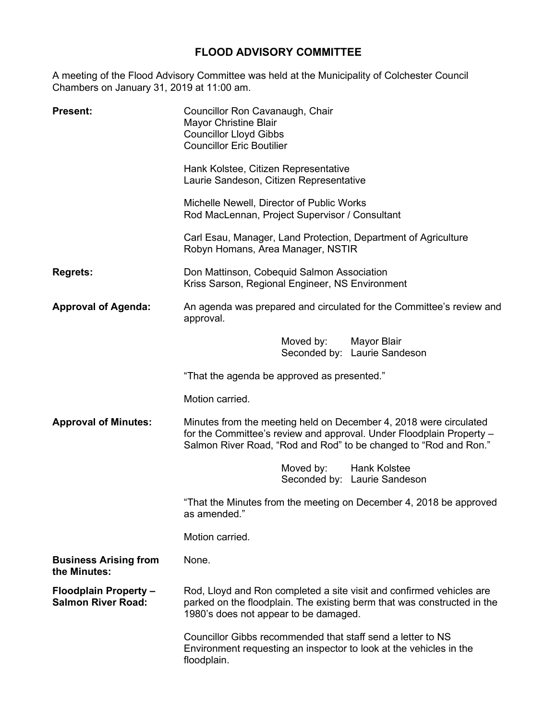## **FLOOD ADVISORY COMMITTEE**

A meeting of the Flood Advisory Committee was held at the Municipality of Colchester Council Chambers on January 31, 2019 at 11:00 am.

| <b>Present:</b>                                           | Councillor Ron Cavanaugh, Chair<br>Mayor Christine Blair<br><b>Councillor Lloyd Gibbs</b><br><b>Councillor Eric Boutilier</b>                                                                                 |  |
|-----------------------------------------------------------|---------------------------------------------------------------------------------------------------------------------------------------------------------------------------------------------------------------|--|
|                                                           | Hank Kolstee, Citizen Representative<br>Laurie Sandeson, Citizen Representative                                                                                                                               |  |
|                                                           | Michelle Newell, Director of Public Works<br>Rod MacLennan, Project Supervisor / Consultant                                                                                                                   |  |
|                                                           | Carl Esau, Manager, Land Protection, Department of Agriculture<br>Robyn Homans, Area Manager, NSTIR                                                                                                           |  |
| <b>Regrets:</b>                                           | Don Mattinson, Cobequid Salmon Association<br>Kriss Sarson, Regional Engineer, NS Environment                                                                                                                 |  |
| <b>Approval of Agenda:</b>                                | An agenda was prepared and circulated for the Committee's review and<br>approval.                                                                                                                             |  |
|                                                           | Moved by:<br>Mayor Blair<br>Seconded by: Laurie Sandeson                                                                                                                                                      |  |
|                                                           | "That the agenda be approved as presented."                                                                                                                                                                   |  |
|                                                           | Motion carried.                                                                                                                                                                                               |  |
| <b>Approval of Minutes:</b>                               | Minutes from the meeting held on December 4, 2018 were circulated<br>for the Committee's review and approval. Under Floodplain Property -<br>Salmon River Road, "Rod and Rod" to be changed to "Rod and Ron." |  |
|                                                           | Moved by:<br>Hank Kolstee<br>Seconded by: Laurie Sandeson                                                                                                                                                     |  |
|                                                           | "That the Minutes from the meeting on December 4, 2018 be approved<br>as amended.                                                                                                                             |  |
|                                                           | Motion carried.                                                                                                                                                                                               |  |
| <b>Business Arising from</b><br>the Minutes:              | None.                                                                                                                                                                                                         |  |
| <b>Floodplain Property -</b><br><b>Salmon River Road:</b> | Rod, Lloyd and Ron completed a site visit and confirmed vehicles are<br>parked on the floodplain. The existing berm that was constructed in the<br>1980's does not appear to be damaged.                      |  |
|                                                           | Councillor Gibbs recommended that staff send a letter to NS<br>Environment requesting an inspector to look at the vehicles in the<br>floodplain.                                                              |  |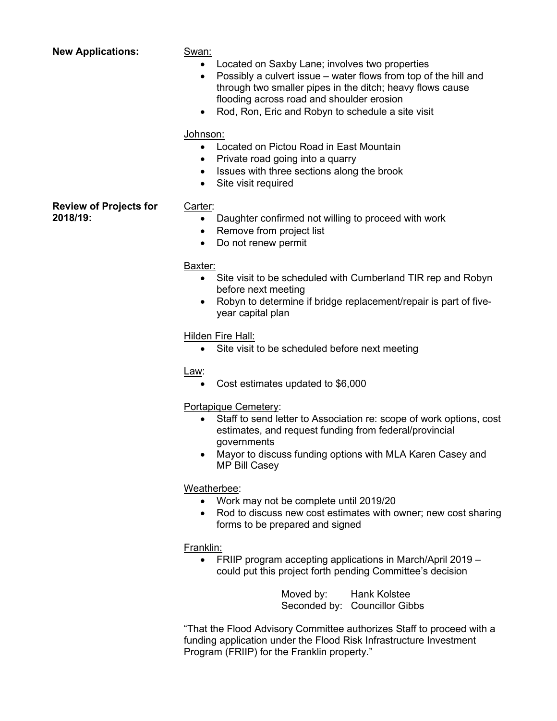| <b>New Applications:</b>                  | Swan:<br>Located on Saxby Lane; involves two properties<br>$\bullet$<br>Possibly a culvert issue – water flows from top of the hill and<br>$\bullet$<br>through two smaller pipes in the ditch; heavy flows cause<br>flooding across road and shoulder erosion<br>Rod, Ron, Eric and Robyn to schedule a site visit<br>$\bullet$ |
|-------------------------------------------|----------------------------------------------------------------------------------------------------------------------------------------------------------------------------------------------------------------------------------------------------------------------------------------------------------------------------------|
|                                           | Johnson:<br>Located on Pictou Road in East Mountain<br>$\bullet$<br>Private road going into a quarry<br>$\bullet$<br>Issues with three sections along the brook<br>$\bullet$<br>Site visit required                                                                                                                              |
| <b>Review of Projects for</b><br>2018/19: | Carter:<br>Daughter confirmed not willing to proceed with work<br>٠<br>Remove from project list<br>$\bullet$<br>Do not renew permit<br>$\bullet$                                                                                                                                                                                 |
|                                           | Baxter:<br>Site visit to be scheduled with Cumberland TIR rep and Robyn<br>$\bullet$<br>before next meeting<br>Robyn to determine if bridge replacement/repair is part of five-<br>$\bullet$<br>year capital plan                                                                                                                |
|                                           | Hilden Fire Hall:<br>Site visit to be scheduled before next meeting<br>$\bullet$                                                                                                                                                                                                                                                 |
|                                           | Law:<br>Cost estimates updated to \$6,000<br>$\bullet$                                                                                                                                                                                                                                                                           |

Portapique Cemetery:

- Staff to send letter to Association re: scope of work options, cost estimates, and request funding from federal/provincial governments
- Mayor to discuss funding options with MLA Karen Casey and MP Bill Casey

## Weatherbee:

- Work may not be complete until 2019/20
- Rod to discuss new cost estimates with owner; new cost sharing forms to be prepared and signed

## Franklin:

• FRIIP program accepting applications in March/April 2019 – could put this project forth pending Committee's decision

> Moved by: Hank Kolstee Seconded by: Councillor Gibbs

"That the Flood Advisory Committee authorizes Staff to proceed with a funding application under the Flood Risk Infrastructure Investment Program (FRIIP) for the Franklin property."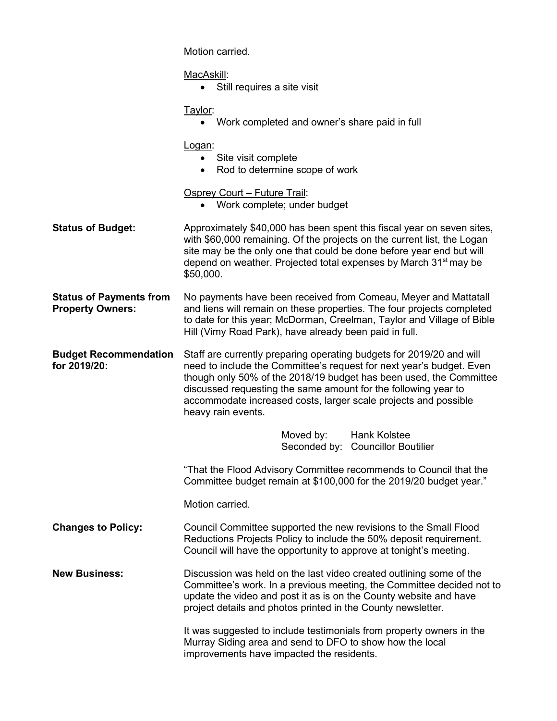|                                                           | Motion carried.                                                                                                                                                                                                                                                                                                                                                               |
|-----------------------------------------------------------|-------------------------------------------------------------------------------------------------------------------------------------------------------------------------------------------------------------------------------------------------------------------------------------------------------------------------------------------------------------------------------|
|                                                           | MacAskill:<br>Still requires a site visit<br>$\bullet$                                                                                                                                                                                                                                                                                                                        |
|                                                           | Taylor:<br>• Work completed and owner's share paid in full                                                                                                                                                                                                                                                                                                                    |
|                                                           | Logan:<br>• Site visit complete<br>Rod to determine scope of work                                                                                                                                                                                                                                                                                                             |
|                                                           | Osprey Court - Future Trail:<br>Work complete; under budget<br>$\bullet$                                                                                                                                                                                                                                                                                                      |
| <b>Status of Budget:</b>                                  | Approximately \$40,000 has been spent this fiscal year on seven sites,<br>with \$60,000 remaining. Of the projects on the current list, the Logan<br>site may be the only one that could be done before year end but will<br>depend on weather. Projected total expenses by March 31 <sup>st</sup> may be<br>\$50,000.                                                        |
| <b>Status of Payments from</b><br><b>Property Owners:</b> | No payments have been received from Comeau, Meyer and Mattatall<br>and liens will remain on these properties. The four projects completed<br>to date for this year; McDorman, Creelman, Taylor and Village of Bible<br>Hill (Vimy Road Park), have already been paid in full.                                                                                                 |
| <b>Budget Recommendation</b><br>for 2019/20:              | Staff are currently preparing operating budgets for 2019/20 and will<br>need to include the Committee's request for next year's budget. Even<br>though only 50% of the 2018/19 budget has been used, the Committee<br>discussed requesting the same amount for the following year to<br>accommodate increased costs, larger scale projects and possible<br>heavy rain events. |
|                                                           | Moved by:<br>Hank Kolstee<br>Seconded by:<br><b>Councillor Boutilier</b>                                                                                                                                                                                                                                                                                                      |
|                                                           | "That the Flood Advisory Committee recommends to Council that the<br>Committee budget remain at \$100,000 for the 2019/20 budget year."                                                                                                                                                                                                                                       |
|                                                           | Motion carried.                                                                                                                                                                                                                                                                                                                                                               |
| <b>Changes to Policy:</b>                                 | Council Committee supported the new revisions to the Small Flood<br>Reductions Projects Policy to include the 50% deposit requirement.<br>Council will have the opportunity to approve at tonight's meeting.                                                                                                                                                                  |
| <b>New Business:</b>                                      | Discussion was held on the last video created outlining some of the<br>Committee's work. In a previous meeting, the Committee decided not to<br>update the video and post it as is on the County website and have<br>project details and photos printed in the County newsletter.                                                                                             |
|                                                           | It was suggested to include testimonials from property owners in the<br>Murray Siding area and send to DFO to show how the local<br>improvements have impacted the residents.                                                                                                                                                                                                 |